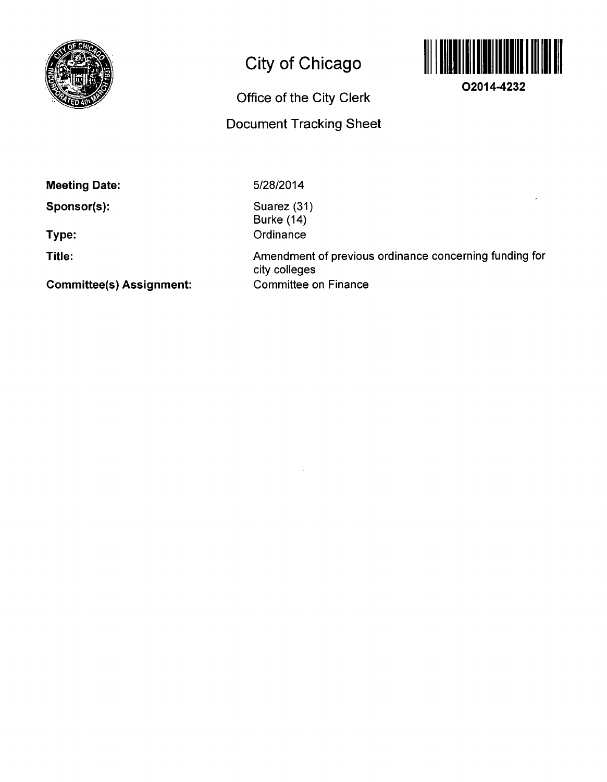

# **City of Chicago**



**02014-4232** 

**Office of the City Clerk** 

# **Document Tracking Sheet**

**Meeting Date:** 

**Sponsor(s):** 

**Type:** 

**Title:** 

5/28/2014

Suarez (31) Burke  $(14)$ **Ordinance** 

Amendment of previous ordinance concerning funding for city colleges Committee on Finance

**Commlttee(s) Assignment:**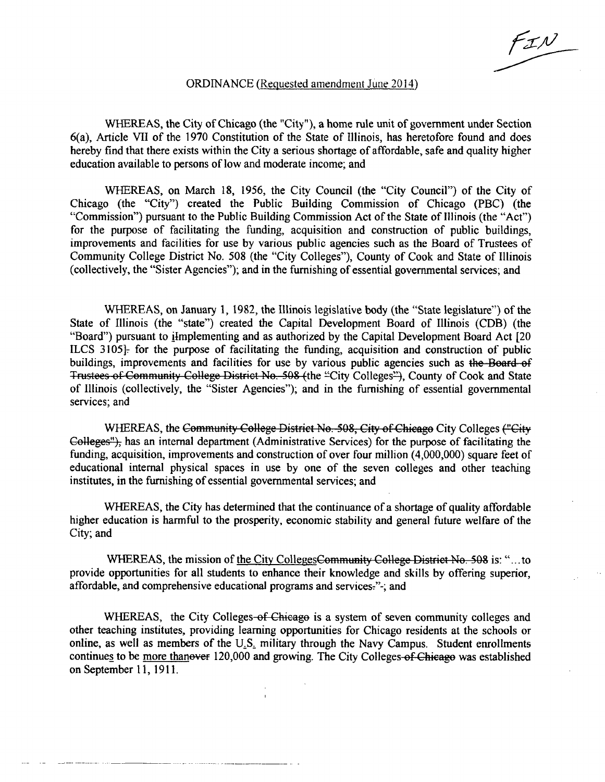FIN

#### ORDINANCE (Requested amendment June 2014)

WHEREAS, the City of Chicago (the "City"), a home rule unit of government under Section 6(a), Article VII of the 1970 Constitution of the State of Illinois, has heretofore found and does hereby find that there exists within the City a serious shortage of affordable, safe and quality higher education available to persons of low and moderate income; and

WHEREAS, on March 18, 1956, the City Council (the "City Council") of the City of Chicago (the "City") created the Public Building Commission of Chicago (PBC) (the "Commission") pursuant to the Public Building Commission Act of the State of Illinois (the "Act") for the purpose of facilitating the funding, acquisition and construction of public buildings, improvements and facilities for use by various public agencies such as the Board of Trustees of Community College District No. 508 (the "City Colleges"), County of Cook and State of Illinois (collectively, the "Sister Agencies"); and in the furnishing of essential govemmental services; and

WHEREAS, on January 1, 1982, the Illinois legislative body (the "State legislature") of the State of Illinois (the "state") created the Capital Development Board of Illinois (CDB) (the "Board") pursuant to ilmplementing and as authorized by the Capital Development Board Act [20] ILCS 3105]. for the purpose of facilitating the funding, acquisition and construction of public buildings, improvements and facilities for use by various public agencies such as the Board of Trustees of Community College District No. 508 (the "City Colleges"), County of Cook and State of Illinois (collectively, the "Sister Agencies"); and in the furnishing of essential govenunental services; and

WHEREAS, the Community College District No. 508, City of Chicago City Colleges ("City") Colleges"), has an intemal department (Administrative Services) for the purpose of facilitating the funding, acquisition, improvements and construction of over four million (4,000,000) square feet of educational intemal physical spaces in use by one of the seven colleges and other teaching institutes, in the furnishing of essential govemmental services; and

WHEREAS, the City has determined that the continuance of a shortage of quality affordable higher education is harmful to the prosperity, economic stability and general future welfare of the City; and

WHEREAS, the mission of the City Colleges Community College District No. 508 is: "...to provide opportunities for all students to enhance their knowledge and skills by offering superior, affordable, and comprehensive educational programs and services."-; and

WHEREAS, the City Colleges-of Chicago is a system of seven community colleges and other teaching institutes, providing learning opportunities for Chicago residents at the schools or online, as well as members of the U.S. military through the Navy Campus. Student enrollments continues to be more thanever 120,000 and growing. The City Colleges of Chicago was established on September 11, 1911.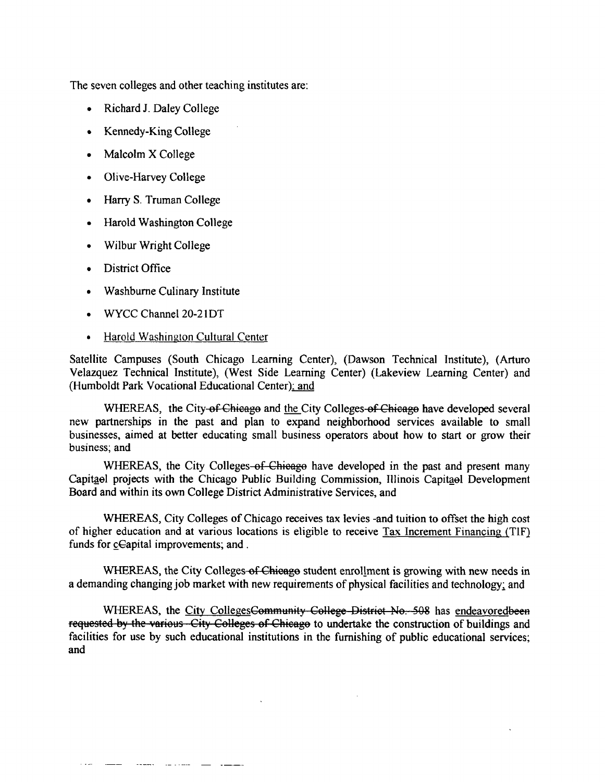The seven colleges and other teaching institutes are:

- Richard J. Daley College
- Kennedy-King College  $\bullet$
- Malcolm X College  $\bullet$
- Olive-Harvey College
- Harry S. Truman College  $\bullet$
- Harold Washington College
- Wilbur Wright College
- District Office

المستشفرات المربان

للمستحدث المستناطين المستندر

- Washbume Culinary Institute
- WYCC Channel 20-2IDT
- Harold Washington Cultural Center

Satellite Campuses (South Chicago Learning Center), (Dawson Technical Institute), (Arturo Velazquez Technical Institute), (West Side Learning Center) (Lakeview Learning Center) and (Humboldt Park Vocational Educational Center): and

WHEREAS, the City-of Chicago and the City Colleges-of Chicago have developed several new partnerships in the past and plan to expand neighborhood services available to small businesses, aimed at better educating small business operators about how to start or grow their business; and

WHEREAS, the City Colleges–of–Chicago have developed in the past and present many Capitael projects with the Chicago Public Building Commission, Illinois Capitael Development Board and within its own College District Administrative Services, and

WHEREAS, City Colleges of Chicago receives tax levies -and tuition to offset the high cost of higher education and at various locations is eligible to receive Tax Increment Financing (TIF) funds for ceapital improvements; and .

WHEREAS, the City Colleges of Chicago student enrollment is growing with new needs in a demanding changing job market with new requirements of physical facilities and technology; and

WHEREAS, the City CollegesCommunity College District No. 508 has endeavoredbeen requested by the various City Colleges of Chicago to undertake the construction of buildings and facilities for use by such educational institutions in the furnishing of public educational services; and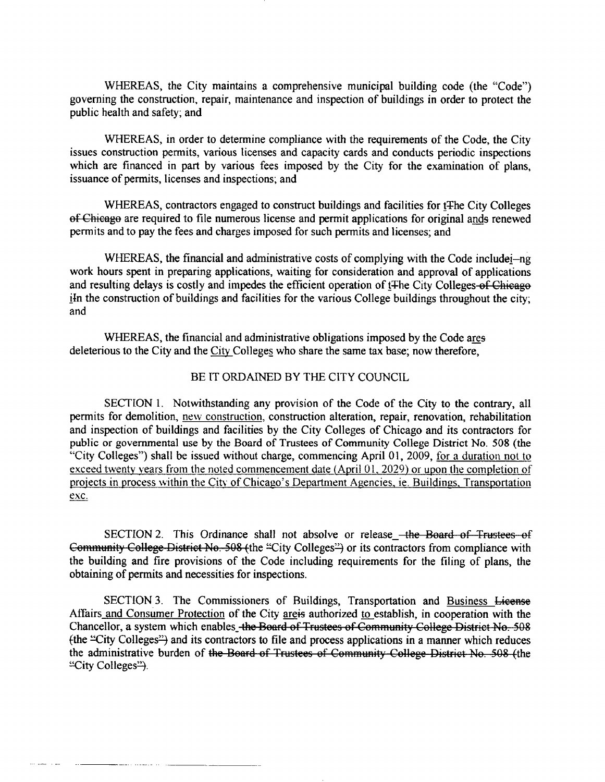WHEREAS, the City maintains a comprehensive municipal building code (the "Code") goveming the construction, repair, maintenance and inspection of buildings in order to protect the public health and safety; and

WHEREAS, in order to determine compliance with the requirements of the Code, the City issues construction pennits, various licenses and capacity cards and conducts periodic inspections which are financed in part by various fees imposed by the City for the examination of plans, issuance of permits, licenses and inspections; and

WHEREAS, contractors engaged to construct buildings and facilities for ffhe City Colleges of Chicago are required to file numerous license and permit applications for original ands renewed permits and to pay the fees and charges imposed for such permits and licenses; and

WHEREAS, the financial and administrative costs of complying with the Code includej-ng work hours spent in preparing applications, waiting for consideration and approval of applications and resulting delays is costly and impedes the efficient operation of t<sub>The City</sub> Colleges of Chicago iln the construction of buildings and facilities for the various College buildings throughout the city; and

WHEREAS, the financial and administrative obligations imposed by the Code ares deleterious to the City and the City Colleges who share the same tax base; now therefore,

#### BE IT ORDAINED BY THE CITY COUNCIL

SECTION 1. Notwithstanding any provision of the Code of the City to the contrary, all permits for demolition, new construction, construction alteration, repair, renovation, rehabilitation and inspection of buildings and facilities by the City Colleges of Chicago and its contractors for public or govemmental use by the Board of Trustees of Community College District No. 508 (the "City Colleges") shall be issued without charge, commencing April 01, 2009, for a duration not to exceed twenty years From the noted commencement date (April 01. 2029) or upon the completion of projects in process within the Citv of Chicago's Department Agencies, ie. Buildings. Transportation exc.

SECTION 2. This Ordinance shall not absolve or release\_ the Board of Trustees of Community College District No. 508 (the "City Colleges") or its contractors from compliance with the building and fire provisions of the Code including requirements for the filing of plans, the obtaining of permits and necessities for inspections.

SECTION 3. The Commissioners of Buildings, Transportation and Business License Affairs and Consumer Protection of the City are is authorized to establish, in cooperation with the Chancellor, a system which enables\_the Board of Trustees of Community College District No. 508 (the  $\text{``City College''}$ ) and its contractors to file and process applications in a manner which reduces the administrative burden of the Board of Trustees of Community College District No. 508 (the "City Colleges" $\rightarrow$ .

للسائد المتعادية المعتدية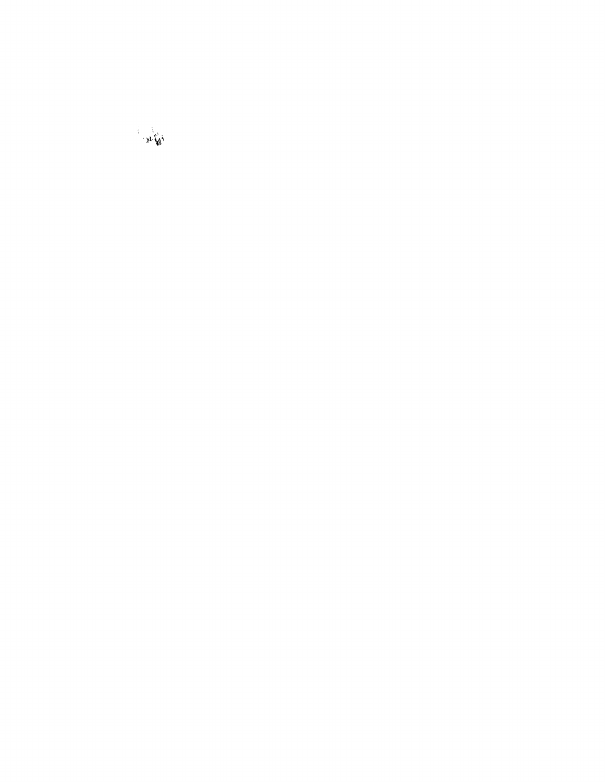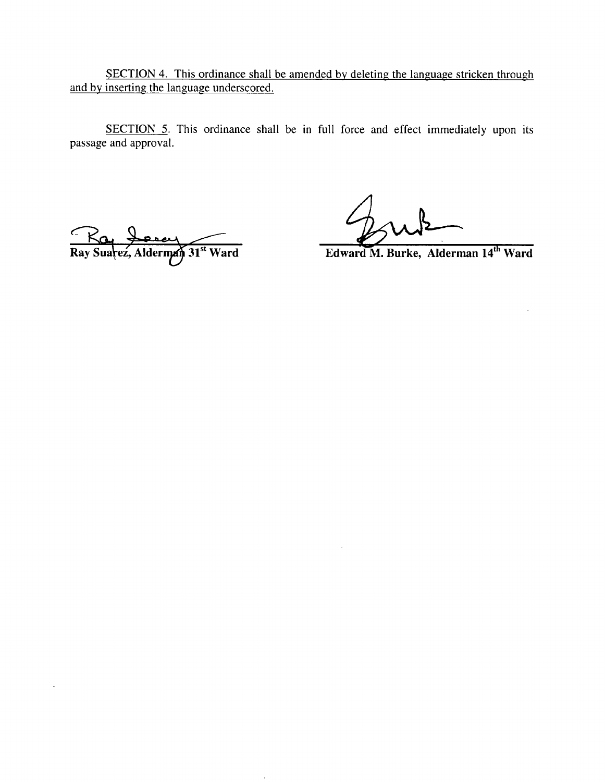SECTION 4. This ordinance shall be amended by deleting the language stricken through and by inserting the language underscored.

SECTION 5. This ordinance shall be in full force and effect immediately upon its passage and approval.

 $\hat{\boldsymbol{\theta}}$ 

Ray Suarez, Alderman 31<sup>st</sup> Ward Edward M. Burke, Alderman 14<sup>th</sup> Ward

l,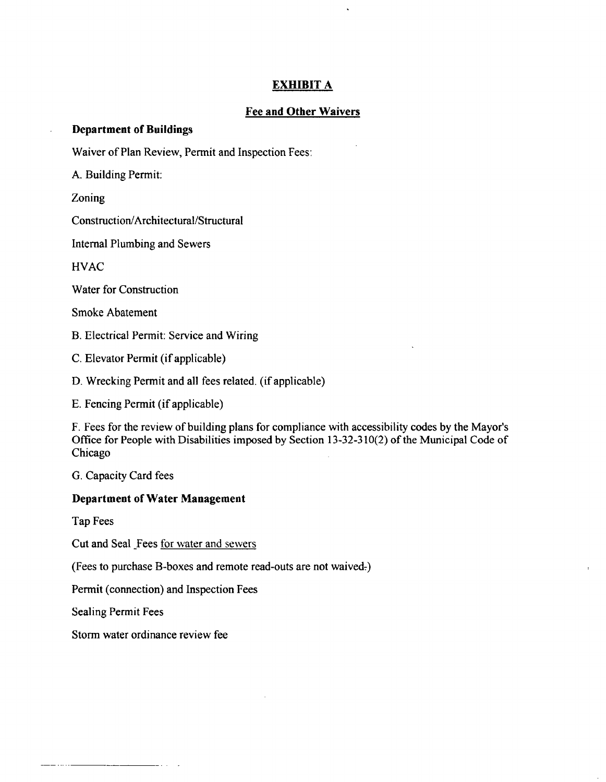# **EXHIBIT A**

## **Fee and Other Waivers**

#### **Department of Buildings**

Waiver of Plan Review, Permit and Inspection Fees;

A. Building Permit:

Zoning

Constmction/Architectural/Structural

Intemal Plumbing and Sewers

**HVAC** 

Water for Construction

Smoke Abatement

B. Electrical Permit: Service and Wiring

C. Elevator Permit (if applicable)

D. Wrecking Permit and all fees related, (if applicable)

E. Fencing Permit (if applicable)

F. Fees for the review of building plans for compliance with accessibility codes by the Mayor's Office for People with Disabilities imposed by Section 13-32-310(2) of the Municipal Code of Chicago

**G. Capacity Card fees** 

#### **Department of Water Management**

Tap Fees

Cut and Seal .Fees for water and sewers

(Fees to purchase B-boxes and remote read-outs are not waived-)

Permit (connection) and Inspection Fees

Sealing Permit Fees

Storm water ordinance review fee